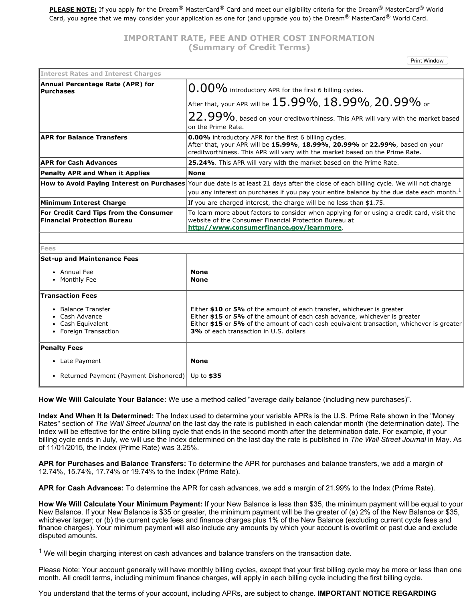**PLEASE NOTE:** If you apply for the Dream® MasterCard® Card and meet our eligibility criteria for the Dream® MasterCard® World Card, you agree that we may consider your application as one for (and upgrade you to) the Dream® MasterCard® World Card.

## **IMPORTANT RATE, FEE AND OTHER COST INFORMATION (Summary of Credit Terms)**

Print Window

| <b>Interest Rates and Interest Charges</b>                                         |                                                                                                                                                                                                                                                                                             |
|------------------------------------------------------------------------------------|---------------------------------------------------------------------------------------------------------------------------------------------------------------------------------------------------------------------------------------------------------------------------------------------|
| Annual Percentage Rate (APR) for<br><b>Purchases</b>                               | $0.00\%$ introductory APR for the first 6 billing cycles.                                                                                                                                                                                                                                   |
|                                                                                    | After that, your APR will be $15.99\%$ , $18.99\%$ , $20.99\%$ or                                                                                                                                                                                                                           |
|                                                                                    | $22.99\%$ , based on your creditworthiness. This APR will vary with the market based<br>on the Prime Rate.                                                                                                                                                                                  |
| <b>APR for Balance Transfers</b>                                                   | <b>0.00%</b> introductory APR for the first 6 billing cycles.<br>After that, your APR will be 15.99%, 18.99%, 20.99% or 22.99%, based on your<br>creditworthiness. This APR will vary with the market based on the Prime Rate.                                                              |
| <b>APR for Cash Advances</b>                                                       | 25.24%. This APR will vary with the market based on the Prime Rate.                                                                                                                                                                                                                         |
| <b>Penalty APR and When it Applies</b>                                             | <b>None</b>                                                                                                                                                                                                                                                                                 |
|                                                                                    | How to Avoid Paying Interest on Purchases Your due date is at least 21 days after the close of each billing cycle. We will not charge<br>you any interest on purchases if you pay your entire balance by the due date each month. <sup>1</sup>                                              |
| <b>Minimum Interest Charge</b>                                                     | If you are charged interest, the charge will be no less than \$1.75.                                                                                                                                                                                                                        |
| For Credit Card Tips from the Consumer<br><b>Financial Protection Bureau</b>       | To learn more about factors to consider when applying for or using a credit card, visit the<br>website of the Consumer Financial Protection Bureau at<br>http://www.consumerfinance.gov/learnmore.                                                                                          |
|                                                                                    |                                                                                                                                                                                                                                                                                             |
| <b>Fees</b>                                                                        |                                                                                                                                                                                                                                                                                             |
| <b>Set-up and Maintenance Fees</b>                                                 |                                                                                                                                                                                                                                                                                             |
| • Annual Fee                                                                       | <b>None</b>                                                                                                                                                                                                                                                                                 |
| • Monthly Fee                                                                      | <b>None</b>                                                                                                                                                                                                                                                                                 |
| <b>Transaction Fees</b>                                                            |                                                                                                                                                                                                                                                                                             |
| • Balance Transfer<br>• Cash Advance<br>• Cash Equivalent<br>• Foreign Transaction | Either \$10 or 5% of the amount of each transfer, whichever is greater<br>Either \$15 or 5% of the amount of each cash advance, whichever is greater<br>Either \$15 or 5% of the amount of each cash equivalent transaction, whichever is greater<br>3% of each transaction in U.S. dollars |
| <b>Penalty Fees</b>                                                                |                                                                                                                                                                                                                                                                                             |
| • Late Payment                                                                     | <b>None</b>                                                                                                                                                                                                                                                                                 |
| • Returned Payment (Payment Dishonored)                                            | Up to \$35                                                                                                                                                                                                                                                                                  |

**How We Will Calculate Your Balance:** We use a method called "average daily balance (including new purchases)".

**Index And When It Is Determined:** The Index used to determine your variable APRs is the U.S. Prime Rate shown in the "Money Rates" section of *The Wall Street Journal* on the last day the rate is published in each calendar month (the determination date). The Index will be effective for the entire billing cycle that ends in the second month after the determination date. For example, if your billing cycle ends in July, we will use the Index determined on the last day the rate is published in *The Wall Street Journal* in May. As of 11/01/2015, the Index (Prime Rate) was 3.25%.

**APR for Purchases and Balance Transfers:** To determine the APR for purchases and balance transfers, we add a margin of 12.74%, 15.74%, 17.74% or 19.74% to the Index (Prime Rate).

**APR for Cash Advances:** To determine the APR for cash advances, we add a margin of 21.99% to the Index (Prime Rate).

**How We Will Calculate Your Minimum Payment:** If your New Balance is less than \$35, the minimum payment will be equal to your New Balance. If your New Balance is \$35 or greater, the minimum payment will be the greater of (a) 2% of the New Balance or \$35, whichever larger; or (b) the current cycle fees and finance charges plus 1% of the New Balance (excluding current cycle fees and finance charges). Your minimum payment will also include any amounts by which your account is overlimit or past due and exclude disputed amounts.

 $<sup>1</sup>$  We will begin charging interest on cash advances and balance transfers on the transaction date.</sup>

Please Note: Your account generally will have monthly billing cycles, except that your first billing cycle may be more or less than one month. All credit terms, including minimum finance charges, will apply in each billing cycle including the first billing cycle.

You understand that the terms of your account, including APRs, are subject to change. **IMPORTANT NOTICE REGARDING**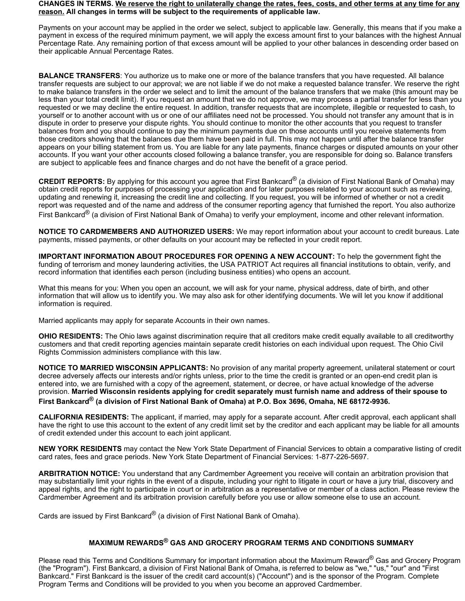### CHANGES IN TERMS. We reserve the right to unilaterally change the rates, fees, costs, and other terms at any time for any **reason. All changes in terms will be subject to the requirements of applicable law.**

Payments on your account may be applied in the order we select, subject to applicable law. Generally, this means that if you make a payment in excess of the required minimum payment, we will apply the excess amount first to your balances with the highest Annual Percentage Rate. Any remaining portion of that excess amount will be applied to your other balances in descending order based on their applicable Annual Percentage Rates.

**BALANCE TRANSFERS**: You authorize us to make one or more of the balance transfers that you have requested. All balance transfer requests are subject to our approval; we are not liable if we do not make a requested balance transfer. We reserve the right to make balance transfers in the order we select and to limit the amount of the balance transfers that we make (this amount may be less than your total credit limit). If you request an amount that we do not approve, we may process a partial transfer for less than you requested or we may decline the entire request. In addition, transfer requests that are incomplete, illegible or requested to cash, to yourself or to another account with us or one of our affiliates need not be processed. You should not transfer any amount that is in dispute in order to preserve your dispute rights. You should continue to monitor the other accounts that you request to transfer balances from and you should continue to pay the minimum payments due on those accounts until you receive statements from those creditors showing that the balances due them have been paid in full. This may not happen until after the balance transfer appears on your billing statement from us. You are liable for any late payments, finance charges or disputed amounts on your other accounts. If you want your other accounts closed following a balance transfer, you are responsible for doing so. Balance transfers are subject to applicable fees and finance charges and do not have the benefit of a grace period.

**CREDIT REPORTS:** By applying for this account you agree that First Bankcard® (a division of First National Bank of Omaha) may obtain credit reports for purposes of processing your application and for later purposes related to your account such as reviewing, updating and renewing it, increasing the credit line and collecting. If you request, you will be informed of whether or not a credit report was requested and of the name and address of the consumer reporting agency that furnished the report. You also authorize First Bankcard<sup>®</sup> (a division of First National Bank of Omaha) to verify your employment, income and other relevant information.

**NOTICE TO CARDMEMBERS AND AUTHORIZED USERS:** We may report information about your account to credit bureaus. Late payments, missed payments, or other defaults on your account may be reflected in your credit report.

**IMPORTANT INFORMATION ABOUT PROCEDURES FOR OPENING A NEW ACCOUNT:** To help the government fight the funding of terrorism and money laundering activities, the USA PATRIOT Act requires all financial institutions to obtain, verify, and record information that identifies each person (including business entities) who opens an account.

What this means for you: When you open an account, we will ask for your name, physical address, date of birth, and other information that will allow us to identify you. We may also ask for other identifying documents. We will let you know if additional information is required.

Married applicants may apply for separate Accounts in their own names.

**OHIO RESIDENTS:** The Ohio laws against discrimination require that all creditors make credit equally available to all creditworthy customers and that credit reporting agencies maintain separate credit histories on each individual upon request. The Ohio Civil Rights Commission administers compliance with this law.

**NOTICE TO MARRIED WISCONSIN APPLICANTS:** No provision of any marital property agreement, unilateral statement or court decree adversely affects our interests and/or rights unless, prior to the time the credit is granted or an open-end credit plan is entered into, we are furnished with a copy of the agreement, statement, or decree, or have actual knowledge of the adverse provision. Married Wisconsin residents applying for credit separately must furnish name and address of their spouse to First Bankcard® (a division of First National Bank of Omaha) at P.O. Box 3696, Omaha, NE 68172-9936.

**CALIFORNIA RESIDENTS:** The applicant, if married, may apply for a separate account. After credit approval, each applicant shall have the right to use this account to the extent of any credit limit set by the creditor and each applicant may be liable for all amounts of credit extended under this account to each joint applicant.

**NEW YORK RESIDENTS** may contact the New York State Department of Financial Services to obtain a comparative listing of credit card rates, fees and grace periods. New York State Department of Financial Services: 1-877-226-5697.

**ARBITRATION NOTICE:** You understand that any Cardmember Agreement you receive will contain an arbitration provision that may substantially limit your rights in the event of a dispute, including your right to litigate in court or have a jury trial, discovery and appeal rights, and the right to participate in court or in arbitration as a representative or member of a class action. Please review the Cardmember Agreement and its arbitration provision carefully before you use or allow someone else to use an account.

Cards are issued by First Bankcard® (a division of First National Bank of Omaha).

# **MAXIMUM REWARDS ® GAS AND GROCERY PROGRAM TERMS AND CONDITIONS SUMMARY**

Please read this Terms and Conditions Summary for important information about the Maximum Reward® Gas and Grocery Program (the "Program"). First Bankcard, a division of First National Bank of Omaha, is referred to below as "we," "us," "our" and "First Bankcard." First Bankcard is the issuer of the credit card account(s) ("Account") and is the sponsor of the Program. Complete Program Terms and Conditions will be provided to you when you become an approved Cardmember.